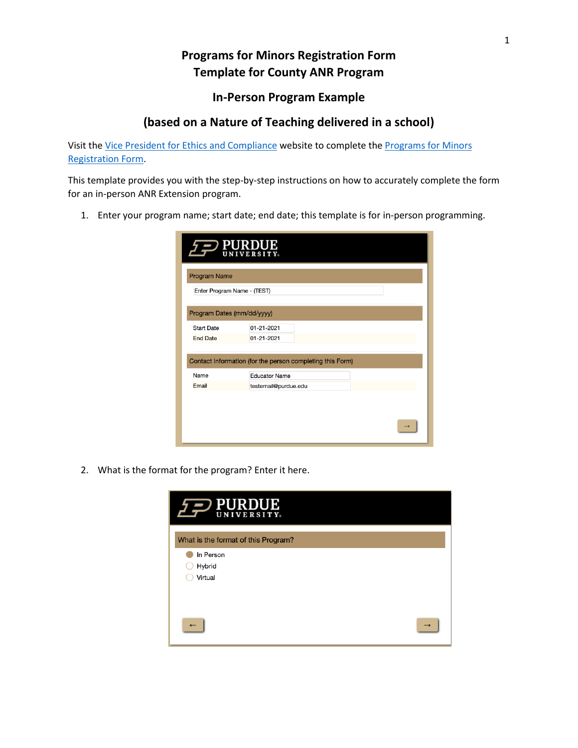## **Programs for Minors Registration Form Template for County ANR Program**

## **In-Person Program Example**

## **(based on a Nature of Teaching delivered in a school)**

Visit the [Vice President for Ethics and Compliance](https://www.purdue.edu/ethics/resources/programs-involving-minors.php) website to complete the [Programs for Minors](https://purdue.ca1.qualtrics.com/jfe/form/SV_9oj3TGyyWiVDnsF?_ga=2.96039390.315749223.1601472963-258603749.1571229914)  [Registration Form.](https://purdue.ca1.qualtrics.com/jfe/form/SV_9oj3TGyyWiVDnsF?_ga=2.96039390.315749223.1601472963-258603749.1571229914)

This template provides you with the step-by-step instructions on how to accurately complete the form for an in-person ANR Extension program.

1. Enter your program name; start date; end date; this template is for in-person programming.

|                             | <b>PURDUE</b>                                             |  |
|-----------------------------|-----------------------------------------------------------|--|
| <b>Program Name</b>         |                                                           |  |
| Enter Program Name - (TEST) |                                                           |  |
| Program Dates (mm/dd/yyyy)  |                                                           |  |
| <b>Start Date</b>           | 01-21-2021                                                |  |
| <b>End Date</b>             | 01-21-2021                                                |  |
|                             | Contact Information (for the person completing this Form) |  |
| Name                        | <b>Educator Name</b>                                      |  |
| Email                       | testemail@purdue.edu                                      |  |
|                             |                                                           |  |
|                             |                                                           |  |

2. What is the format for the program? Enter it here.

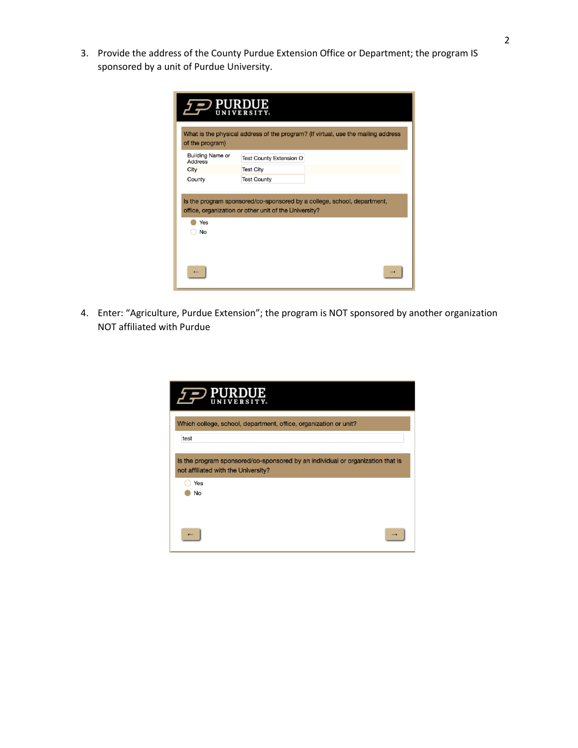3. Provide the address of the County Purdue Extension Office or Department; the program IS sponsored by a unit of Purdue University.

| <b>PURDUE</b><br><b>UNIVERSITY</b>        |                                                                                                                                  |  |
|-------------------------------------------|----------------------------------------------------------------------------------------------------------------------------------|--|
| of the program)                           | What is the physical address of the program? (If virtual, use the mailing address                                                |  |
| <b>Building Name or</b><br><b>Address</b> | Test County Extension O                                                                                                          |  |
| City                                      | <b>Test City</b>                                                                                                                 |  |
| County                                    | <b>Test County</b>                                                                                                               |  |
| Yes<br>No                                 | Is the program sponsored/co-sponsored by a college, school, department,<br>office, organization or other unit of the University? |  |
|                                           |                                                                                                                                  |  |

4. Enter: "Agriculture, Purdue Extension"; the program is NOT sponsored by another organization NOT affiliated with Purdue

| <b>JRDUE</b><br><b>NIVERSITY</b> 。                                                                                           |  |
|------------------------------------------------------------------------------------------------------------------------------|--|
| Which college, school, department, office, organization or unit?<br>test                                                     |  |
| Is the program sponsored/co-sponsored by an individual or organization that is<br>not affiliated with the University?<br>Yes |  |
| No                                                                                                                           |  |
|                                                                                                                              |  |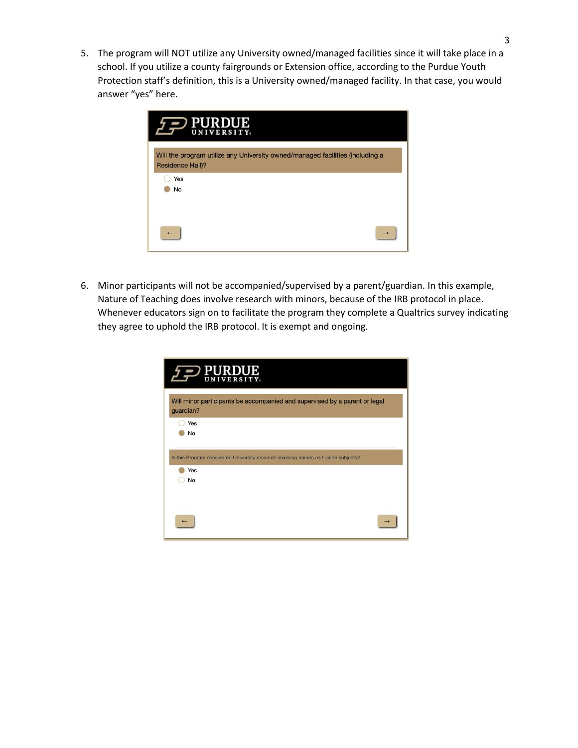5. The program will NOT utilize any University owned/managed facilities since it will take place in a school. If you utilize a county fairgrounds or Extension office, according to the Purdue Youth Protection staff's definition, this is a University owned/managed facility. In that case, you would answer "yes" here.

| IJB<br><b>UNIVERSITY</b>                                                                          |
|---------------------------------------------------------------------------------------------------|
| Will the program utilize any University owned/managed facilities (including a<br>Residence Hall)? |
| Yes<br>No                                                                                         |
|                                                                                                   |

6. Minor participants will not be accompanied/supervised by a parent/guardian. In this example, Nature of Teaching does involve research with minors, because of the IRB protocol in place. Whenever educators sign on to facilitate the program they complete a Qualtrics survey indicating they agree to uphold the IRB protocol. It is exempt and ongoing.

| <b>PURDUE</b><br><b>UNIVERSITY</b>                                                        |  |
|-------------------------------------------------------------------------------------------|--|
| Will minor participants be accompanied and supervised by a parent or legal<br>guardian?   |  |
| Yes<br>No                                                                                 |  |
| Is this Program considered University research involving minors as human subjects?<br>Yes |  |
| No                                                                                        |  |
|                                                                                           |  |